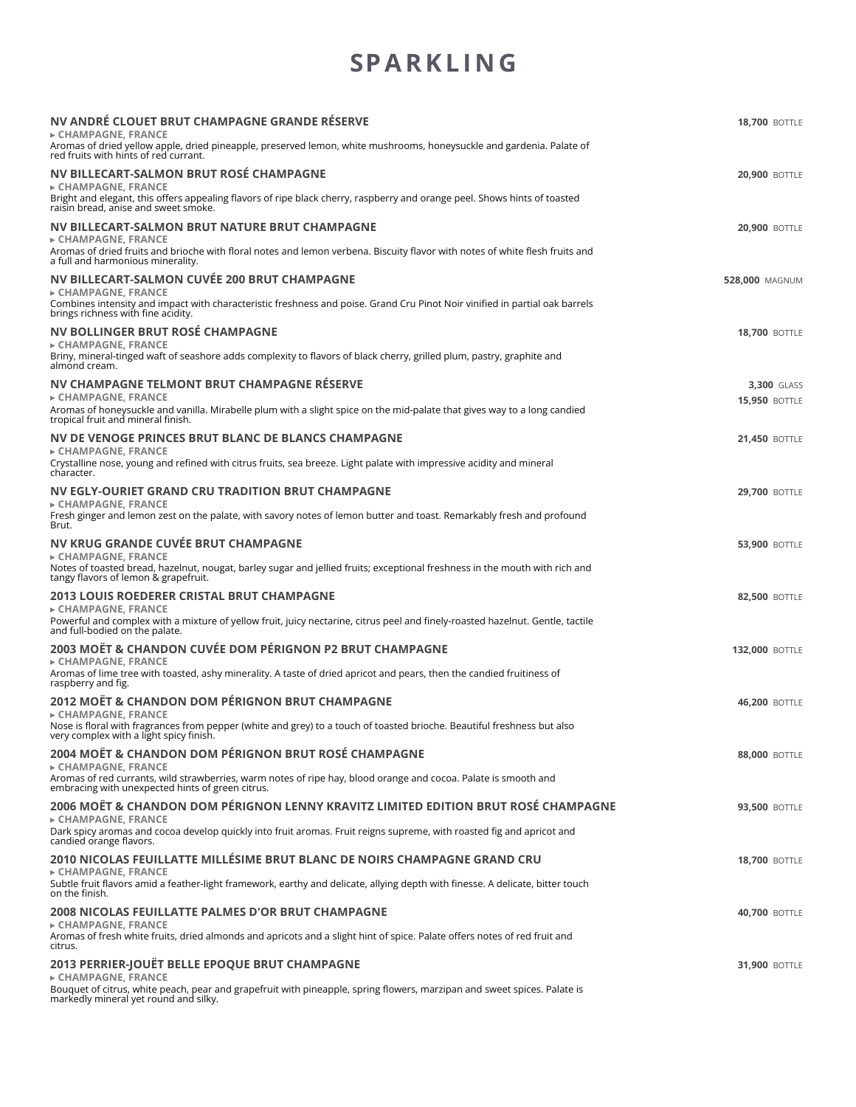## **SPARKL IN G**

| NV ANDRÉ CLOUET BRUT CHAMPAGNE GRANDE RÉSERVE<br>► CHAMPAGNE, FRANCE<br>Aromas of dried yellow apple, dried pineapple, preserved lemon, white mushrooms, honeysuckle and gardenia. Palate of                                                                                 | <b>18.700 BOTTLE</b>  |
|------------------------------------------------------------------------------------------------------------------------------------------------------------------------------------------------------------------------------------------------------------------------------|-----------------------|
| red fruits with hints of red currant.<br>NV BILLECART-SALMON BRUT ROSÉ CHAMPAGNE<br>► CHAMPAGNE, FRANCE<br>Bright and elegant, this offers appealing flavors of ripe black cherry, raspberry and orange peel. Shows hints of toasted<br>raisin bread, anise and sweet smoke. | <b>20,900 BOTTLE</b>  |
| NV BILLECART-SALMON BRUT NATURE BRUT CHAMPAGNE<br>► CHAMPAGNE, FRANCE                                                                                                                                                                                                        | <b>20,900 BOTTLE</b>  |
| Aromas of dried fruits and brioche with floral notes and lemon verbena. Biscuity flavor with notes of white flesh fruits and<br>a full and harmonious minerality.                                                                                                            |                       |
| NV BILLECART-SALMON CUVÉE 200 BRUT CHAMPAGNE<br>► CHAMPAGNE, FRANCE<br>Combines intensity and impact with characteristic freshness and poise. Grand Cru Pinot Noir vinified in partial oak barrels<br>brings richness with fine acidity.                                     | <b>528,000 MAGNUM</b> |
| NV BOLLINGER BRUT ROSÉ CHAMPAGNE<br>► CHAMPAGNE, FRANCE<br>Briny, mineral-tinged waft of seashore adds complexity to flavors of black cherry, grilled plum, pastry, graphite and<br>almond cream.                                                                            | <b>18,700 BOTTLE</b>  |
| NV CHAMPAGNE TELMONT BRUT CHAMPAGNE RÉSERVE                                                                                                                                                                                                                                  | <b>3,300 GLASS</b>    |
| ► CHAMPAGNE, FRANCE<br>Aromas of honeysuckle and vanilla. Mirabelle plum with a slight spice on the mid-palate that gives way to a long candied<br>tropical fruit and mineral finish.                                                                                        | <b>15,950 BOTTLE</b>  |
| NV DE VENOGE PRINCES BRUT BLANC DE BLANCS CHAMPAGNE<br>► CHAMPAGNE, FRANCE<br>Crystalline nose, young and refined with citrus fruits, sea breeze. Light palate with impressive acidity and mineral<br>character.                                                             | <b>21,450 BOTTLE</b>  |
| NV EGLY-OURIET GRAND CRU TRADITION BRUT CHAMPAGNE<br>► CHAMPAGNE, FRANCE<br>Fresh ginger and lemon zest on the palate, with savory notes of lemon butter and toast. Remarkably fresh and profound                                                                            | <b>29,700 BOTTLE</b>  |
| Brut.<br>NV KRUG GRANDE CUVÉE BRUT CHAMPAGNE                                                                                                                                                                                                                                 | <b>53,900 BOTTLE</b>  |
| ► CHAMPAGNE, FRANCE<br>Notes of toasted bread, hazelnut, nougat, barley sugar and jellied fruits; exceptional freshness in the mouth with rich and<br>tangy flavors of lemon & grapefruit.                                                                                   |                       |
| <b>2013 LOUIS ROEDERER CRISTAL BRUT CHAMPAGNE</b><br>► CHAMPAGNE, FRANCE<br>Powerful and complex with a mixture of yellow fruit, juicy nectarine, citrus peel and finely-roasted hazelnut. Gentle, tactile<br>and full-bodied on the palate.                                 | <b>82,500 BOTTLE</b>  |
| 2003 MOËT & CHANDON CUVÉE DOM PÉRIGNON P2 BRUT CHAMPAGNE                                                                                                                                                                                                                     | <b>132,000 BOTTLE</b> |
| ► CHAMPAGNE, FRANCE<br>Aromas of lime tree with toasted, ashy minerality. A taste of dried apricot and pears, then the candied fruitiness of<br>raspberry and fig.                                                                                                           |                       |
| 2012 MOËT & CHANDON DOM PÉRIGNON BRUT CHAMPAGNE<br>► CHAMPAGNE, FRANCE                                                                                                                                                                                                       | <b>46,200 BOTTLE</b>  |
| Nose is floral with fragrances from pepper (white and grey) to a touch of toasted brioche. Beautiful freshness but also<br>very complex with a light spicy finish.                                                                                                           |                       |
| 2004 MOËT & CHANDON DOM PÉRIGNON BRUT ROSÉ CHAMPAGNE<br>► CHAMPAGNE, FRANCE<br>Aromas of red currants, wild strawberries, warm notes of ripe hay, blood orange and cocoa. Palate is smooth and<br>embracing with unexpected hints of green citrus.                           | <b>88,000 BOTTLE</b>  |
| 2006 MOËT & CHANDON DOM PÉRIGNON LENNY KRAVITZ LIMITED EDITION BRUT ROSÉ CHAMPAGNE                                                                                                                                                                                           | <b>93,500 BOTTLE</b>  |
| ► CHAMPAGNE, FRANCE<br>Dark spicy aromas and cocoa develop quickly into fruit aromas. Fruit reigns supreme, with roasted fig and apricot and<br>candied orange flavors.                                                                                                      |                       |
| 2010 NICOLAS FEUILLATTE MILLÉSIME BRUT BLANC DE NOIRS CHAMPAGNE GRAND CRU<br>► CHAMPAGNE, FRANCE<br>Subtle fruit flavors amid a feather-light framework, earthy and delicate, allying depth with finesse. A delicate, bitter touch<br>on the finish.                         | <b>18,700 BOTTLE</b>  |
| <b>2008 NICOLAS FEUILLATTE PALMES D'OR BRUT CHAMPAGNE</b><br>► CHAMPAGNE, FRANCE                                                                                                                                                                                             | <b>40,700 BOTTLE</b>  |
| Aromas of fresh white fruits, dried almonds and apricots and a slight hint of spice. Palate offers notes of red fruit and<br>citrus.                                                                                                                                         |                       |
| 2013 PERRIER-JOUËT BELLE EPOQUE BRUT CHAMPAGNE<br>► CHAMPAGNE, FRANCE<br>Bouquet of citrus, white peach, pear and grapefruit with pineapple, spring flowers, marzipan and sweet spices. Palate is<br>markedly mineral yet round and silky.                                   | <b>31,900 BOTTLE</b>  |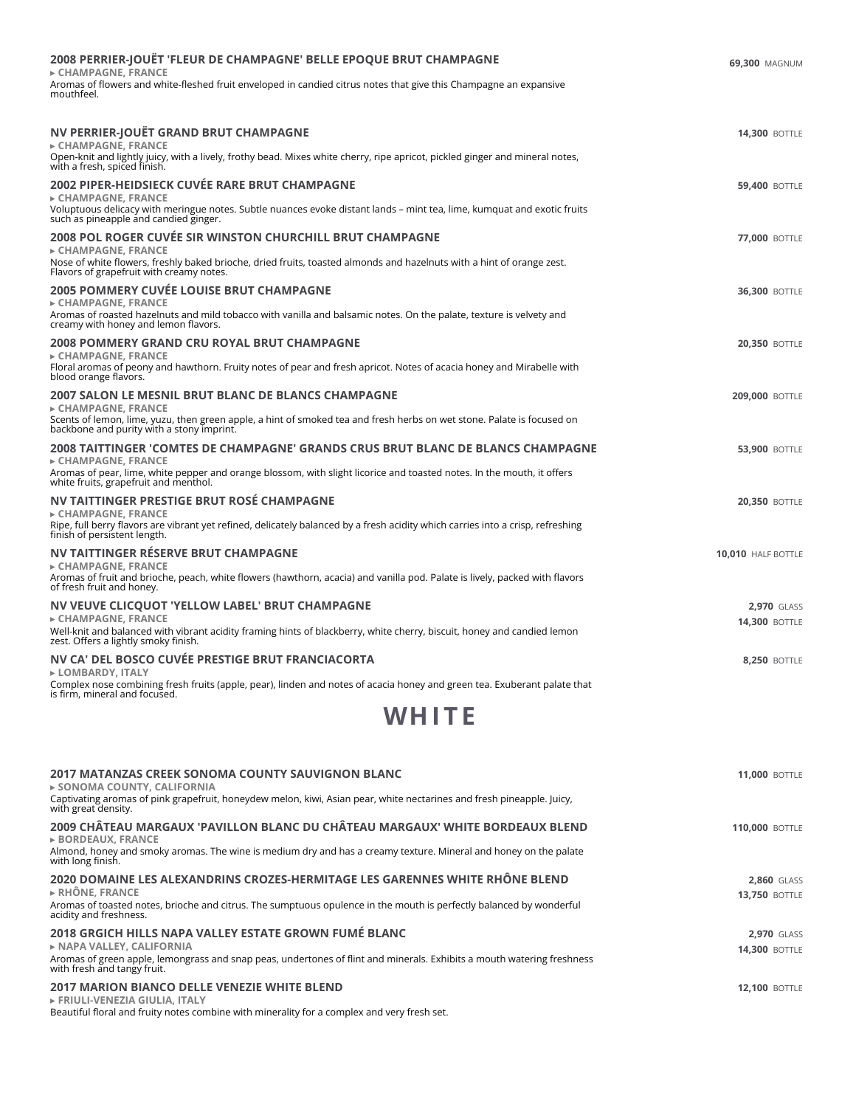| 2008 PERRIER-JOUËT 'FLEUR DE CHAMPAGNE' BELLE EPOQUE BRUT CHAMPAGNE<br>► CHAMPAGNE, FRANCE<br>Aromas of flowers and white-fleshed fruit enveloped in candied citrus notes that give this Champagne an expansive<br>mouthfeel.                                                             | 69,300 MAGNUM                              |
|-------------------------------------------------------------------------------------------------------------------------------------------------------------------------------------------------------------------------------------------------------------------------------------------|--------------------------------------------|
| NV PERRIER-JOUËT GRAND BRUT CHAMPAGNE<br>► CHAMPAGNE, FRANCE<br>Open-knit and lightly juicy, with a lively, frothy bead. Mixes white cherry, ripe apricot, pickled ginger and mineral notes,<br>with a fresh, spiced finish.                                                              | <b>14.300 BOTTLE</b>                       |
| <b>2002 PIPER-HEIDSIECK CUVÉE RARE BRUT CHAMPAGNE</b><br>► CHAMPAGNE, FRANCE<br>Voluptuous delicacy with meringue notes. Subtle nuances evoke distant lands – mint tea, lime, kumquat and exotic fruits<br>such as pineapple and candied ginger.                                          | <b>59,400 BOTTLE</b>                       |
| 2008 POL ROGER CUVÉE SIR WINSTON CHURCHILL BRUT CHAMPAGNE<br>► CHAMPAGNE, FRANCE<br>Nose of white flowers, freshly baked brioche, dried fruits, toasted almonds and hazelnuts with a hint of orange zest.<br>Flavors of grapefruit with creamy notes.                                     | <b>77,000 BOTTLE</b>                       |
| <b>2005 POMMERY CUVÉE LOUISE BRUT CHAMPAGNE</b><br>$\triangleright$ CHAMPAGNE, FRANCE<br>Aromas of roasted hazelnuts and mild tobacco with vanilla and balsamic notes. On the palate, texture is velvety and<br>creamy with honey and lemon flavors.                                      | <b>36,300 BOTTLE</b>                       |
| 2008 POMMERY GRAND CRU ROYAL BRUT CHAMPAGNE<br>$\triangleright$ CHAMPAGNE. FRANCE<br>Floral aromas of peony and hawthorn. Fruity notes of pear and fresh apricot. Notes of acacia honey and Mirabelle with<br>blood orange flavors.                                                       | <b>20,350 BOTTLE</b>                       |
| <b>2007 SALON LE MESNIL BRUT BLANC DE BLANCS CHAMPAGNE</b><br>$\triangleright$ CHAMPAGNE. FRANCE<br>Scents of lemon, lime, yuzu, then green apple, a hint of smoked tea and fresh herbs on wet stone. Palate is focused on<br>backbone and purity with a stony imprint.                   | <b>209.000 BOTTLE</b>                      |
| 2008 TAITTINGER 'COMTES DE CHAMPAGNE' GRANDS CRUS BRUT BLANC DE BLANCS CHAMPAGNE<br>$\triangleright$ CHAMPAGNE, FRANCE<br>Aromas of pear, lime, white pepper and orange blossom, with slight licorice and toasted notes. In the mouth, it offers<br>white fruits, grapefruit and menthol. | <b>53,900 BOTTLE</b>                       |
| NV TAITTINGER PRESTIGE BRUT ROSE CHAMPAGNE<br>$\triangleright$ CHAMPAGNE, FRANCE<br>Ripe, full berry flavors are vibrant yet refined, delicately balanced by a fresh acidity which carries into a crisp, refreshing<br>finish of persistent length.                                       | <b>20,350 BOTTLE</b>                       |
| NV TAITTINGER RÉSERVE BRUT CHAMPAGNE<br>► CHAMPAGNE, FRANCE<br>Aromas of fruit and brioche, peach, white flowers (hawthorn, acacia) and vanilla pod. Palate is lively, packed with flavors<br>of fresh fruit and honey.                                                                   | 10,010 HALF BOTTLE                         |
| NV VEUVE CLICQUOT 'YELLOW LABEL' BRUT CHAMPAGNE<br>► CHAMPAGNE, FRANCE<br>Well-knit and balanced with vibrant acidity framing hints of blackberry, white cherry, biscuit, honey and candied lemon<br>zest. Offers a lightly smoky finish.                                                 | <b>2.970 GLASS</b><br><b>14,300 BOTTLE</b> |
| NV CA' DEL BOSCO CUVÉE PRESTIGE BRUT FRANCIACORTA<br>► LOMBARDY, ITALY<br>Complex nose combining fresh fruits (apple, pear), linden and notes of acacia honey and green tea. Exuberant palate that<br>is firm, mineral and focused.                                                       | <b>8,250 BOTTLE</b>                        |
| WHITE                                                                                                                                                                                                                                                                                     |                                            |
| <b>2017 MATANZAS CREEK SONOMA COUNTY SAUVIGNON BLANC</b><br>▶ SONOMA COUNTY, CALIFORNIA                                                                                                                                                                                                   | <b>11,000 BOTTLE</b>                       |

Captivating aromas of pink grapefruit, honeydew melon, kiwi, Asian pear, white nectarines and fresh pineapple. Juicy,<br>with great density. **2009 CHÂTEAU MARGAUX 'PAVILLON BLANC DU CHÂTEAU MARGAUX' WHITE BORDEAUX BLEND ▸ BORDEAUX, FRANCE 110,000** BOTTLE Almond, honey and smoky aromas. The wine is medium dry and has a creamy texture. Mineral and honey on the palate<br>with long finish.

## **2020 DOMAINE LES ALEXANDRINS CROZES-HERMITAGE LES GARENNES WHITE RHÔNE BLEND ▸ RHÔNE, FRANCE**

Aromas of toasted notes, brioche and citrus. The sumptuous opulence in the mouth is perfectly balanced by wonderful acidity and freshness. **2018 GRGICH HILLS NAPA VALLEY ESTATE GROWN FUMÉ BLANC ▸ NAPA VALLEY, CALIFORNIA 2,970** GLASS **14,300** BOTTLE Aromas of green apple, lemongrass and snap peas, undertones of flint and minerals. Exhibits a mouth watering freshness<br>with fresh and tangy fruit.

**2,860** GLASS **13,750** BOTTLE

**12,100** BOTTLE

## **2017 MARION BIANCO DELLE VENEZIE WHITE BLEND**

**▸ FRIULI-VENEZIA GIULIA, ITALY** Beautiful floral and fruity notes combine with minerality for a complex and very fresh set.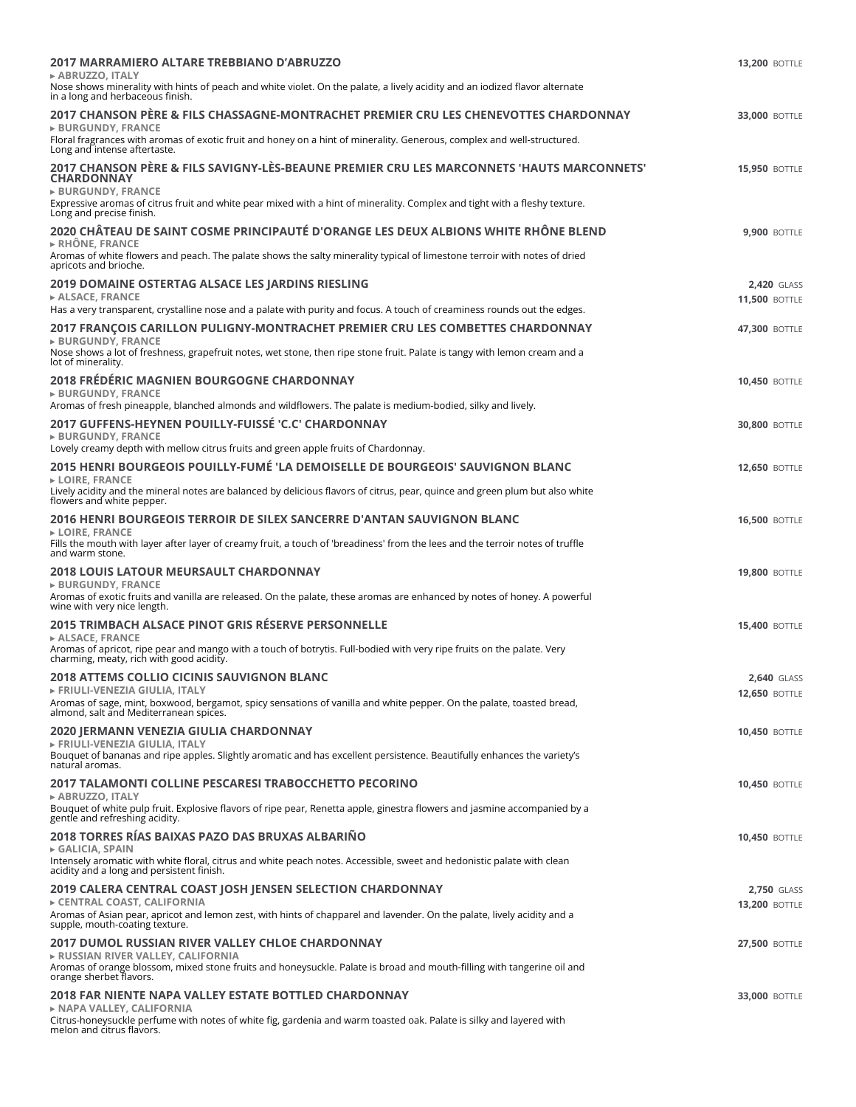| 2017 MARRAMIERO ALTARE TREBBIANO D'ABRUZZO<br>► ABRUZZO, ITALY                                                                                                                                                                    | <b>13,200 BOTTLE</b>                |
|-----------------------------------------------------------------------------------------------------------------------------------------------------------------------------------------------------------------------------------|-------------------------------------|
| Nose shows minerality with hints of peach and white violet. On the palate, a lively acidity and an iodized flavor alternate<br>in a long and herbaceous finish.                                                                   |                                     |
| 2017 CHANSON PÈRE & FILS CHASSAGNE-MONTRACHET PREMIER CRU LES CHENEVOTTES CHARDONNAY<br><b>BURGUNDY, FRANCE</b>                                                                                                                   | <b>33,000 BOTTLE</b>                |
| Floral fragrances with aromas of exotic fruit and honey on a hint of minerality. Generous, complex and well-structured.<br>Long and intense aftertaste.                                                                           |                                     |
| 2017 CHANSON PÈRE & FILS SAVIGNY-LÈS-BEAUNE PREMIER CRU LES MARCONNETS 'HAUTS MARCONNETS'<br><b>CHARDONNAY</b><br><b>&gt; BURGUNDY, FRANCE</b>                                                                                    | <b>15,950 BOTTLE</b>                |
| Expressive aromas of citrus fruit and white pear mixed with a hint of minerality. Complex and tight with a fleshy texture.<br>Long and precise finish.                                                                            |                                     |
| 2020 CHÂTEAU DE SAINT COSME PRINCIPAUTÉ D'ORANGE LES DEUX ALBIONS WHITE RHÔNE BLEND<br>$\triangleright$ RHÔNE. FRANCE                                                                                                             | <b>9,900 BOTTLE</b>                 |
| Aromas of white flowers and peach. The palate shows the salty minerality typical of limestone terroir with notes of dried<br>apricots and brioche.                                                                                |                                     |
| 2019 DOMAINE OSTERTAG ALSACE LES JARDINS RIESLING<br>ALSACE, FRANCE                                                                                                                                                               | <b>2,420 GLASS</b>                  |
| Has a very transparent, crystalline nose and a palate with purity and focus. A touch of creaminess rounds out the edges.                                                                                                          | <b>11,500 BOTTLE</b>                |
| 2017 FRANÇOIS CARILLON PULIGNY-MONTRACHET PREMIER CRU LES COMBETTES CHARDONNAY                                                                                                                                                    | <b>47,300 BOTTLE</b>                |
| ► BURGUNDY, FRANCE<br>Nose shows a lot of freshness, grapefruit notes, wet stone, then ripe stone fruit. Palate is tangy with lemon cream and a<br>lot of minerality.                                                             |                                     |
| 2018 FRÉDÉRIC MAGNIEN BOURGOGNE CHARDONNAY<br><b>BURGUNDY, FRANCE</b>                                                                                                                                                             | <b>10,450 BOTTLE</b>                |
| Aromas of fresh pineapple, blanched almonds and wildflowers. The palate is medium-bodied, silky and lively.                                                                                                                       |                                     |
| 2017 GUFFENS-HEYNEN POUILLY-FUISSÉ 'C.C' CHARDONNAY<br><b>&gt; BURGUNDY, FRANCE</b>                                                                                                                                               | <b>30,800 BOTTLE</b>                |
| Lovely creamy depth with mellow citrus fruits and green apple fruits of Chardonnay.                                                                                                                                               |                                     |
| 2015 HENRI BOURGEOIS POUILLY-FUMÉ 'LA DEMOISELLE DE BOURGEOIS' SAUVIGNON BLANC<br>► LOIRE, FRANCE<br>Lively acidity and the mineral notes are balanced by delicious flavors of citrus, pear, quince and green plum but also white | <b>12,650 BOTTLE</b>                |
| flowers and white pepper.                                                                                                                                                                                                         |                                     |
| 2016 HENRI BOURGEOIS TERROIR DE SILEX SANCERRE D'ANTAN SAUVIGNON BLANC<br>► LOIRE, FRANCE<br>Fills the mouth with layer after layer of creamy fruit, a touch of 'breadiness' from the lees and the terroir notes of truffle       | <b>16,500 BOTTLE</b>                |
| and warm stone.                                                                                                                                                                                                                   |                                     |
| <b>2018 LOUIS LATOUR MEURSAULT CHARDONNAY</b><br><b>&gt; BURGUNDY, FRANCE</b>                                                                                                                                                     | <b>19,800 BOTTLE</b>                |
| Aromas of exotic fruits and vanilla are released. On the palate, these aromas are enhanced by notes of honey. A powerful<br>wine with very nice length.                                                                           |                                     |
| 2015 TRIMBACH ALSACE PINOT GRIS RÉSERVE PERSONNELLE<br>► ALSACE, FRANCE                                                                                                                                                           | <b>15,400 BOTTLE</b>                |
| Aromas of apricot, ripe pear and mango with a touch of botrytis. Full-bodied with very ripe fruits on the palate. Very<br>charming, meaty, rich with good acidity.                                                                |                                     |
| <b>2018 ATTEMS COLLIO CICINIS SAUVIGNON BLANC</b><br>FRIULI-VENEZIA GIULIA, ITALY                                                                                                                                                 | 2,640 GLASS<br><b>12,650 BOTTLE</b> |
| Aromas of sage, mint, boxwood, bergamot, spicy sensations of vanilla and white pepper. On the palate, toasted bread,<br>almond, salt and Mediterranean spices.                                                                    |                                     |
| 2020 JERMANN VENEZIA GIULIA CHARDONNAY<br>► FRIULI-VENEZIA GIULIA, ITALY                                                                                                                                                          | <b>10,450 BOTTLE</b>                |
| Bouquet of bananas and ripe apples. Slightly aromatic and has excellent persistence. Beautifully enhances the variety's<br>natural aromas.                                                                                        |                                     |
| <b>2017 TALAMONTI COLLINE PESCARESI TRABOCCHETTO PECORINO</b>                                                                                                                                                                     | <b>10,450 BOTTLE</b>                |
| ► ABRUZZO, ITALY<br>Bouquet of white pulp fruit. Explosive flavors of ripe pear, Renetta apple, ginestra flowers and jasmine accompanied by a<br>gentle and refreshing acidity.                                                   |                                     |
| 2018 TORRES RÍAS BAIXAS PAZO DAS BRUXAS ALBARIÑO                                                                                                                                                                                  | <b>10.450 BOTTLE</b>                |
| GALICIA, SPAIN<br>Intensely aromatic with white floral, citrus and white peach notes. Accessible, sweet and hedonistic palate with clean<br>acidity and a long and persistent finish.                                             |                                     |
| 2019 CALERA CENTRAL COAST JOSH JENSEN SELECTION CHARDONNAY                                                                                                                                                                        | 2,750 GLASS                         |
| EXPORTED COAST, CALIFORNIA<br>Aromas of Asian pear, apricot and lemon zest, with hints of chapparel and lavender. On the palate, lively acidity and a<br>supple, mouth-coating texture.                                           | <b>13,200 BOTTLE</b>                |
| 2017 DUMOL RUSSIAN RIVER VALLEY CHLOE CHARDONNAY                                                                                                                                                                                  | <b>27,500 BOTTLE</b>                |
| ► RUSSIAN RIVER VALLEY, CALIFORNIA<br>Aromas of orange blossom, mixed stone fruits and honeysuckle. Palate is broad and mouth-filling with tangerine oil and<br>orange sherbet flavors.                                           |                                     |
| 2018 FAR NIENTE NAPA VALLEY ESTATE BOTTLED CHARDONNAY                                                                                                                                                                             | <b>33,000 BOTTLE</b>                |
| ► NAPA VALLEY, CALIFORNIA<br>Citrus-honeysuckle perfume with notes of white fig, gardenia and warm toasted oak. Palate is silky and layered with<br>melon and citrus flavors.                                                     |                                     |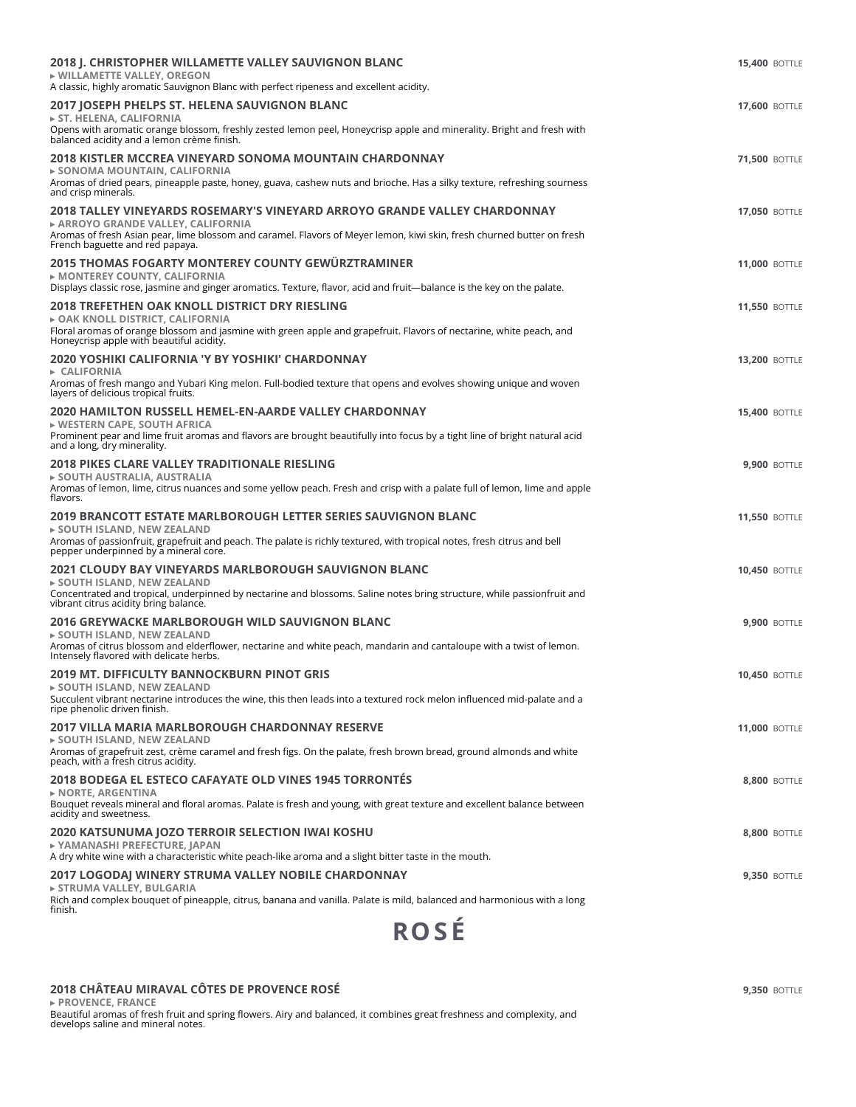| 2018 J. CHRISTOPHER WILLAMETTE VALLEY SAUVIGNON BLANC<br>▶ WILLAMETTE VALLEY, OREGON<br>A classic, highly aromatic Sauvignon Blanc with perfect ripeness and excellent acidity.                                                                                              | <b>15,400 BOTTLE</b> |
|------------------------------------------------------------------------------------------------------------------------------------------------------------------------------------------------------------------------------------------------------------------------------|----------------------|
| 2017 JOSEPH PHELPS ST. HELENA SAUVIGNON BLANC<br>► ST. HELENA, CALIFORNIA<br>Opens with aromatic orange blossom, freshly zested lemon peel, Honeycrisp apple and minerality. Bright and fresh with<br>balanced acidity and a lemon crème finish.                             | <b>17,600 BOTTLE</b> |
| 2018 KISTLER MCCREA VINEYARD SONOMA MOUNTAIN CHARDONNAY<br>► SONOMA MOUNTAIN, CALIFORNIA<br>Aromas of dried pears, pineapple paste, honey, guava, cashew nuts and brioche. Has a silky texture, refreshing sourness<br>and crisp minerals.                                   | <b>71,500 BOTTLE</b> |
| 2018 TALLEY VINEYARDS ROSEMARY'S VINEYARD ARROYO GRANDE VALLEY CHARDONNAY<br>► ARROYO GRANDE VALLEY, CALIFORNIA<br>Aromas of fresh Asian pear, lime blossom and caramel. Flavors of Meyer lemon, kiwi skin, fresh churned butter on fresh<br>French baguette and red papaya. | <b>17,050 BOTTLE</b> |
| 2015 THOMAS FOGARTY MONTEREY COUNTY GEWÜRZTRAMINER<br>► MONTEREY COUNTY, CALIFORNIA<br>Displays classic rose, jasmine and ginger aromatics. Texture, flavor, acid and fruit-balance is the key on the palate.                                                                | <b>11,000 BOTTLE</b> |
| 2018 TREFETHEN OAK KNOLL DISTRICT DRY RIESLING<br>► OAK KNOLL DISTRICT, CALIFORNIA<br>Floral aromas of orange blossom and jasmine with green apple and grapefruit. Flavors of nectarine, white peach, and<br>Honeycrisp apple with beautiful acidity.                        | <b>11,550 BOTTLE</b> |
| 2020 YOSHIKI CALIFORNIA 'Y BY YOSHIKI' CHARDONNAY<br>$\triangleright$ CALIFORNIA<br>Aromas of fresh mango and Yubari King melon. Full-bodied texture that opens and evolves showing unique and woven<br>layers of delicious tropical fruits.                                 | <b>13,200 BOTTLE</b> |
| 2020 HAMILTON RUSSELL HEMEL-EN-AARDE VALLEY CHARDONNAY<br>► WESTERN CAPE, SOUTH AFRICA<br>Prominent pear and lime fruit aromas and flavors are brought beautifully into focus by a tight line of bright natural acid<br>and a long, dry minerality.                          | <b>15,400 BOTTLE</b> |
| <b>2018 PIKES CLARE VALLEY TRADITIONALE RIESLING</b><br>► SOUTH AUSTRALIA, AUSTRALIA<br>Aromas of lemon, lime, citrus nuances and some yellow peach. Fresh and crisp with a palate full of lemon, lime and apple<br>flavors.                                                 | <b>9,900 BOTTLE</b>  |
| 2019 BRANCOTT ESTATE MARLBOROUGH LETTER SERIES SAUVIGNON BLANC<br>► SOUTH ISLAND, NEW ZEALAND<br>Aromas of passionfruit, grapefruit and peach. The palate is richly textured, with tropical notes, fresh citrus and bell<br>pepper underpinned by a mineral core.            | <b>11,550 BOTTLE</b> |
| 2021 CLOUDY BAY VINEYARDS MARLBOROUGH SAUVIGNON BLANC<br>$\triangleright$ SOUTH ISLAND, NEW ZEALAND<br>Concentrated and tropical, underpinned by nectarine and blossoms. Saline notes bring structure, while passionfruit and<br>vibrant citrus acidity bring balance.       | <b>10,450 BOTTLE</b> |
| 2016 GREYWACKE MARLBOROUGH WILD SAUVIGNON BLANC<br>► SOUTH ISLAND, NEW ZEALAND<br>Aromas of citrus blossom and elderflower, nectarine and white peach, mandarin and cantaloupe with a twist of lemon.<br>Intensely flavored with delicate herbs.                             | <b>9,900 BOTTLE</b>  |
| <b>2019 MT. DIFFICULTY BANNOCKBURN PINOT GRIS</b><br>$\triangleright$ SOUTH ISLAND, NEW ZEALAND<br>Succulent vibrant nectarine introduces the wine, this then leads into a textured rock melon influenced mid-palate and a<br>ripe phenolic driven finish.                   | <b>10,450 BOTTLE</b> |
| 2017 VILLA MARIA MARLBOROUGH CHARDONNAY RESERVE<br>► SOUTH ISLAND, NEW ZEALAND<br>Aromas of grapefruit zest, crème caramel and fresh figs. On the palate, fresh brown bread, ground almonds and white<br>peach, with a fresh citrus acidity.                                 | <b>11,000 BOTTLE</b> |
| 2018 BODEGA EL ESTECO CAFAYATE OLD VINES 1945 TORRONTÉS<br>$\triangleright$ NORTE, ARGENTINA<br>Bouquet reveals mineral and floral aromas. Palate is fresh and young, with great texture and excellent balance between<br>acidity and sweetness.                             | <b>8,800 BOTTLE</b>  |
| 2020 KATSUNUMA JOZO TERROIR SELECTION IWAI KOSHU<br>▶ YAMANASHI PREFECTURE, JAPAN<br>A dry white wine with a characteristic white peach-like aroma and a slight bitter taste in the mouth.                                                                                   | <b>8,800 BOTTLE</b>  |
| 2017 LOGODAJ WINERY STRUMA VALLEY NOBILE CHARDONNAY<br>► STRUMA VALLEY, BULGARIA<br>Rich and complex bouquet of pineapple, citrus, banana and vanilla. Palate is mild, balanced and harmonious with a long<br>finish.                                                        | <b>9,350 BOTTLE</b>  |

## **2018 CHÂTEAU MIRAVAL CÔTES DE PROVENCE ROSÉ**

**▸ PROVENCE, FRANCE** Beautiful aromas of fresh fruit and spring flowers. Airy and balanced, it combines great freshness and complexity, and develops saline and mineral notes. **9,350** BOTTLE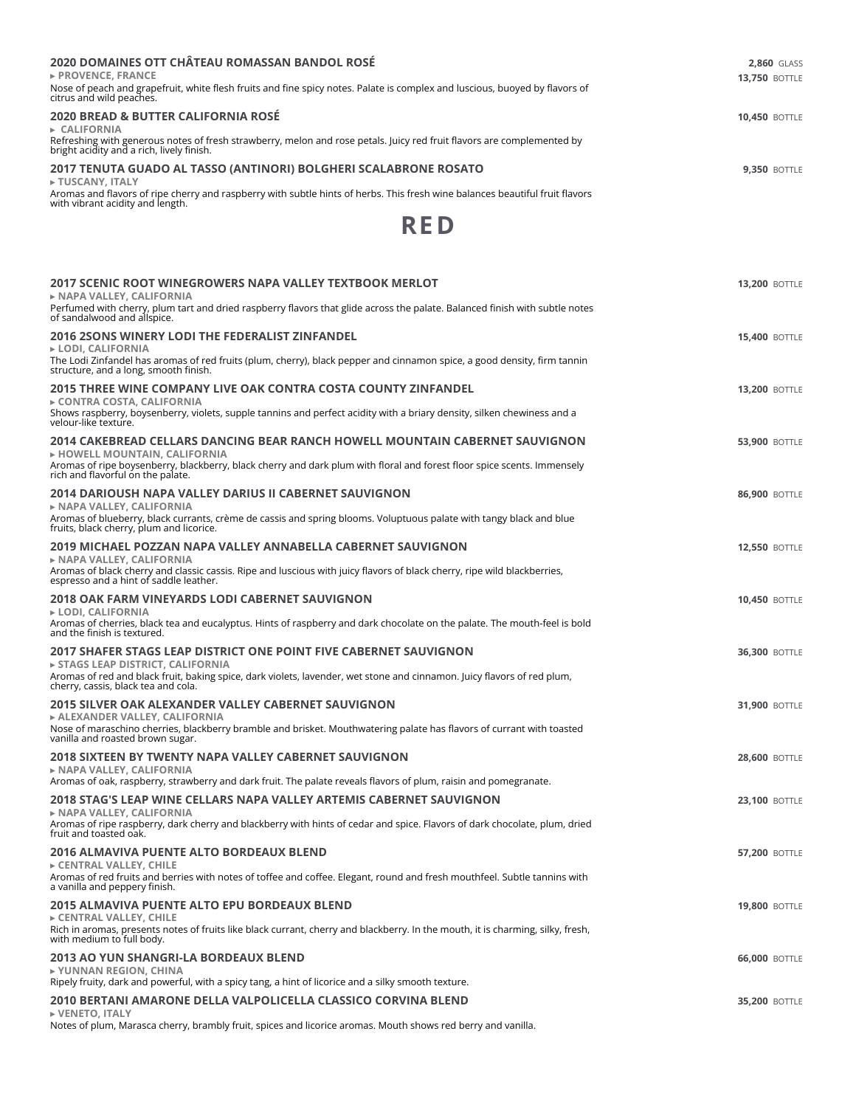| <b>2020 DOMAINES OTT CHÂTEAU ROMASSAN BANDOL ROSÉ</b><br>$\triangleright$ PROVENCE. FRANCE<br>Nose of peach and grapefruit, white flesh fruits and fine spicy notes. Palate is complex and luscious, buoyed by flavors of<br>citrus and wild peaches.    | <b>2.860 GLASS</b><br><b>13.750 BOTTLE</b> |
|----------------------------------------------------------------------------------------------------------------------------------------------------------------------------------------------------------------------------------------------------------|--------------------------------------------|
| 2020 BREAD & BUTTER CALIFORNIA ROSÉ<br>$\triangleright$ CALIFORNIA<br>Refreshing with generous notes of fresh strawberry, melon and rose petals. Juicy red fruit flavors are complemented by<br>bright acidity and a rich, lively finish.                | <b>10.450 BOTTLE</b>                       |
| 2017 TENUTA GUADO AL TASSO (ANTINORI) BOLGHERI SCALABRONE ROSATO<br>E TUSCANY, ITALY<br>Aromas and flavors of ripe cherry and raspberry with subtle hints of herbs. This fresh wine balances beautiful fruit flavors<br>with vibrant acidity and length. | <b>9.350 BOTTLE</b>                        |



| 2017 SCENIC ROOT WINEGROWERS NAPA VALLEY TEXTBOOK MERLOT<br>► NAPA VALLEY, CALIFORNIA                                                                                                  | <b>13,200 BOTTLE</b> |
|----------------------------------------------------------------------------------------------------------------------------------------------------------------------------------------|----------------------|
| Perfumed with cherry, plum tart and dried raspberry flavors that glide across the palate. Balanced finish with subtle notes<br>of sandalwood and allspice.                             |                      |
| <b>2016 2SONS WINERY LODI THE FEDERALIST ZINFANDEL</b><br>► LODI, CALIFORNIA                                                                                                           | <b>15,400 BOTTLE</b> |
| The Lodi Zinfandel has aromas of red fruits (plum, cherry), black pepper and cinnamon spice, a good density, firm tannin<br>structure, and a long, smooth finish.                      |                      |
| 2015 THREE WINE COMPANY LIVE OAK CONTRA COSTA COUNTY ZINFANDEL<br>► CONTRA COSTA, CALIFORNIA                                                                                           | <b>13,200 BOTTLE</b> |
| Shows raspberry, boysenberry, violets, supple tannins and perfect acidity with a briary density, silken chewiness and a<br>velour-like texture.                                        |                      |
| 2014 CAKEBREAD CELLARS DANCING BEAR RANCH HOWELL MOUNTAIN CABERNET SAUVIGNON<br>E HOWELL MOUNTAIN, CALIFORNIA                                                                          | <b>53,900 BOTTLE</b> |
| Aromas of ripe boysenberry, blackberry, black cherry and dark plum with floral and forest floor spice scents. Immensely<br>rich and flavorful on the palate.                           |                      |
| 2014 DARIOUSH NAPA VALLEY DARIUS II CABERNET SAUVIGNON<br>► NAPA VALLEY, CALIFORNIA                                                                                                    | <b>86,900 BOTTLE</b> |
| Aromas of blueberry, black currants, crème de cassis and spring blooms. Voluptuous palate with tangy black and blue<br>fruits, black cherry, plum and licorice.                        |                      |
| 2019 MICHAEL POZZAN NAPA VALLEY ANNABELLA CABERNET SAUVIGNON<br>► NAPA VALLEY, CALIFORNIA                                                                                              | <b>12,550 BOTTLE</b> |
| Aromas of black cherry and classic cassis. Ripe and luscious with juicy flavors of black cherry, ripe wild blackberries,<br>espresso and a hint of saddle leather.                     |                      |
| 2018 OAK FARM VINEYARDS LODI CABERNET SAUVIGNON<br>► LODI. CALIFORNIA                                                                                                                  | <b>10,450 BOTTLE</b> |
| Aromas of cherries, black tea and eucalyptus. Hints of raspberry and dark chocolate on the palate. The mouth-feel is bold<br>and the finish is textured.                               |                      |
| 2017 SHAFER STAGS LEAP DISTRICT ONE POINT FIVE CABERNET SAUVIGNON<br>► STAGS LEAP DISTRICT, CALIFORNIA                                                                                 | <b>36,300 BOTTLE</b> |
| Aromas of red and black fruit, baking spice, dark violets, lavender, wet stone and cinnamon. Juicy flavors of red plum,<br>cherry, cassis, black tea and cola.                         |                      |
| 2015 SILVER OAK ALEXANDER VALLEY CABERNET SAUVIGNON<br>ALEXANDER VALLEY, CALIFORNIA                                                                                                    | <b>31,900 BOTTLE</b> |
| Nose of maraschino cherries, blackberry bramble and brisket. Mouthwatering palate has flavors of currant with toasted<br>vanilla and roasted brown sugar.                              |                      |
| 2018 SIXTEEN BY TWENTY NAPA VALLEY CABERNET SAUVIGNON<br>> NAPA VALLEY, CALIFORNIA                                                                                                     | <b>28,600 BOTTLE</b> |
| Aromas of oak, raspberry, strawberry and dark fruit. The palate reveals flavors of plum, raisin and pomegranate.                                                                       |                      |
| 2018 STAG'S LEAP WINE CELLARS NAPA VALLEY ARTEMIS CABERNET SAUVIGNON<br>► NAPA VALLEY, CALIFORNIA                                                                                      | <b>23,100 BOTTLE</b> |
| Aromas of ripe raspberry, dark cherry and blackberry with hints of cedar and spice. Flavors of dark chocolate, plum, dried<br>fruit and toasted oak.                                   |                      |
| <b>2016 ALMAVIVA PUENTE ALTO BORDEAUX BLEND</b><br>► CENTRAL VALLEY, CHILE                                                                                                             | <b>57,200 BOTTLE</b> |
| Aromas of red fruits and berries with notes of toffee and coffee. Elegant, round and fresh mouthfeel. Subtle tannins with<br>a vanilla and peppery finish.                             |                      |
| <b>2015 ALMAVIVA PUENTE ALTO EPU BORDEAUX BLEND</b>                                                                                                                                    | <b>19,800 BOTTLE</b> |
| EXPORENT VALLEY, CHILE<br>Rich in aromas, presents notes of fruits like black currant, cherry and blackberry. In the mouth, it is charming, silky, fresh,<br>with medium to full body. |                      |
| <b>2013 AO YUN SHANGRI-LA BORDEAUX BLEND</b><br>► YUNNAN REGION, CHINA                                                                                                                 | <b>66,000 BOTTLE</b> |
| Ripely fruity, dark and powerful, with a spicy tang, a hint of licorice and a silky smooth texture.                                                                                    |                      |
| 2010 BERTANI AMARONE DELLA VALPOLICELLA CLASSICO CORVINA BLEND<br>► VENETO, ITALY                                                                                                      | <b>35,200 BOTTLE</b> |

Notes of plum, Marasca cherry, brambly fruit, spices and licorice aromas. Mouth shows red berry and vanilla.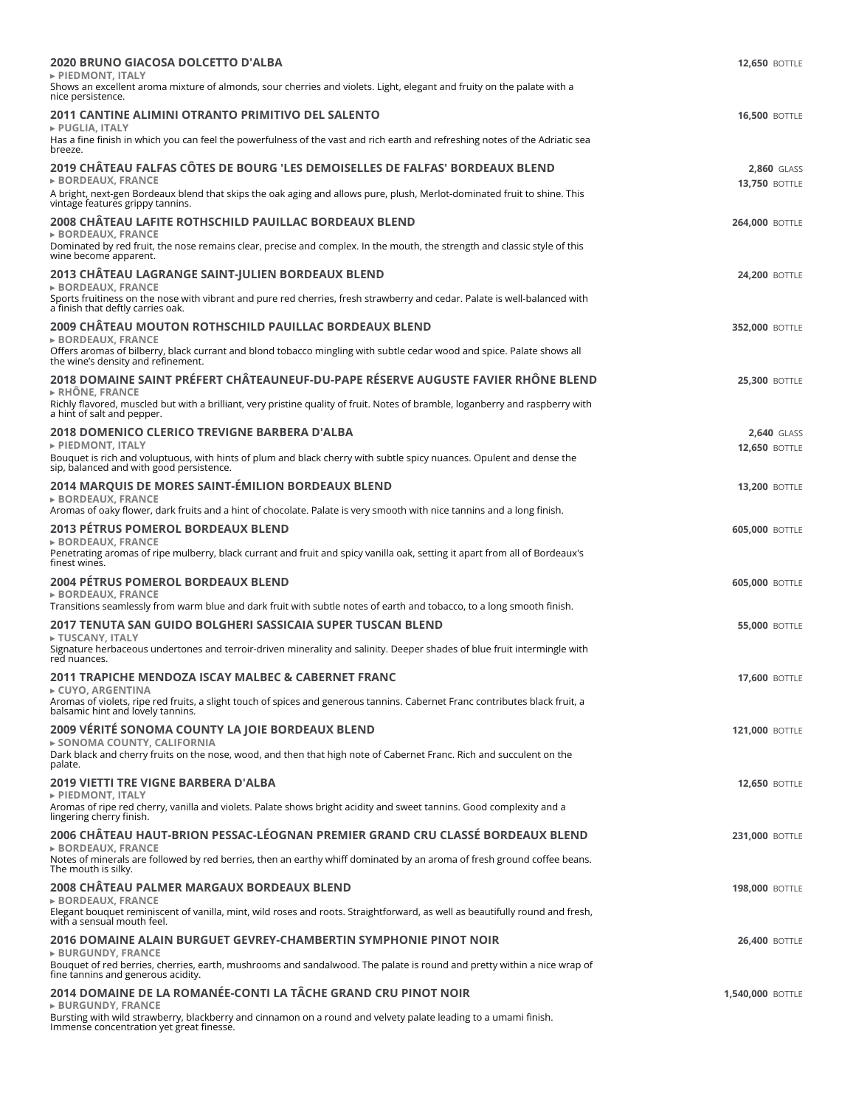| <b>2020 BRUNO GIACOSA DOLCETTO D'ALBA</b>                                                                                                                                                     | <b>12,650 BOTTLE</b>                       |
|-----------------------------------------------------------------------------------------------------------------------------------------------------------------------------------------------|--------------------------------------------|
| PIEDMONT, ITALY<br>Shows an excellent aroma mixture of almonds, sour cherries and violets. Light, elegant and fruity on the palate with a<br>nice persistence.                                |                                            |
| 2011 CANTINE ALIMINI OTRANTO PRIMITIVO DEL SALENTO<br>► PUGLIA, ITALY                                                                                                                         | <b>16,500 BOTTLE</b>                       |
| Has a fine finish in which you can feel the powerfulness of the vast and rich earth and refreshing notes of the Adriatic sea<br>breeze.                                                       |                                            |
| 2019 CHÂTEAU FALFAS CÔTES DE BOURG 'LES DEMOISELLES DE FALFAS' BORDEAUX BLEND<br><b>&gt; BORDEAUX, FRANCE</b>                                                                                 | <b>2,860 GLASS</b><br><b>13,750 BOTTLE</b> |
| A bright, next-gen Bordeaux blend that skips the oak aging and allows pure, plush, Merlot-dominated fruit to shine. This<br>vintage features grippy tannins.                                  |                                            |
| 2008 CHÂTEAU LAFITE ROTHSCHILD PAUILLAC BORDEAUX BLEND<br><b>&gt; BORDEAUX, FRANCE</b>                                                                                                        | <b>264,000 BOTTLE</b>                      |
| Dominated by red fruit, the nose remains clear, precise and complex. In the mouth, the strength and classic style of this<br>wine become apparent.                                            |                                            |
| 2013 CHÂTEAU LAGRANGE SAINT-JULIEN BORDEAUX BLEND<br>► BORDEAUX, FRANCE                                                                                                                       | <b>24,200 BOTTLE</b>                       |
| Sports fruitiness on the nose with vibrant and pure red cherries, fresh strawberry and cedar. Palate is well-balanced with<br>a finish that deftly carries oak.                               |                                            |
| 2009 CHÂTEAU MOUTON ROTHSCHILD PAUILLAC BORDEAUX BLEND<br>► BORDEAUX, FRANCE                                                                                                                  | <b>352,000 BOTTLE</b>                      |
| Offers aromas of bilberry, black currant and blond tobacco mingling with subtle cedar wood and spice. Palate shows all<br>the wine's density and refinement.                                  |                                            |
| 2018 DOMAINE SAINT PRÉFERT CHÂTEAUNEUF-DU-PAPE RÉSERVE AUGUSTE FAVIER RHÔNE BLEND<br>$\triangleright$ RHÔNE, FRANCE                                                                           | <b>25,300 BOTTLE</b>                       |
| Richly flavored, muscled but with a brilliant, very pristine quality of fruit. Notes of bramble, loganberry and raspberry with<br>a hint of salt and pepper.                                  |                                            |
| 2018 DOMENICO CLERICO TREVIGNE BARBERA D'ALBA<br>PIEDMONT, ITALY                                                                                                                              | <b>2,640 GLASS</b>                         |
| Bouquet is rich and voluptuous, with hints of plum and black cherry with subtle spicy nuances. Opulent and dense the<br>sip, balanced and with good persistence.                              | <b>12,650 BOTTLE</b>                       |
| 2014 MARQUIS DE MORES SAINT-ÉMILION BORDEAUX BLEND<br>► BORDEAUX, FRANCE                                                                                                                      | <b>13,200 BOTTLE</b>                       |
| Aromas of oaky flower, dark fruits and a hint of chocolate. Palate is very smooth with nice tannins and a long finish.                                                                        |                                            |
| <b>2013 PETRUS POMEROL BORDEAUX BLEND</b><br>► BORDEAUX, FRANCE                                                                                                                               | <b>605,000 BOTTLE</b>                      |
| Penetrating aromas of ripe mulberry, black currant and fruit and spicy vanilla oak, setting it apart from all of Bordeaux's<br>finest wines.                                                  |                                            |
| 2004 PÉTRUS POMEROL BORDEAUX BLEND<br><b>&gt; BORDEAUX, FRANCE</b>                                                                                                                            | <b>605,000 BOTTLE</b>                      |
| Transitions seamlessly from warm blue and dark fruit with subtle notes of earth and tobacco, to a long smooth finish.<br>2017 TENUTA SAN GUIDO BOLGHERI SASSICAIA SUPER TUSCAN BLEND          | <b>55,000 BOTTLE</b>                       |
| ► TUSCANY, ITALY<br>Signature herbaceous undertones and terroir-driven minerality and salinity. Deeper shades of blue fruit intermingle with<br>red nuances.                                  |                                            |
| 2011 TRAPICHE MENDOZA ISCAY MALBEC & CABERNET FRANC                                                                                                                                           | <b>17,600 BOTTLE</b>                       |
| ► CUYO, ARGENTINA<br>Aromas of violets, ripe red fruits, a slight touch of spices and generous tannins. Cabernet Franc contributes black fruit, a<br>balsamic hint and lovely tannins.        |                                            |
| 2009 VÉRITÉ SONOMA COUNTY LA JOIE BORDEAUX BLEND                                                                                                                                              | <b>121,000 BOTTLE</b>                      |
| ► SONOMA COUNTY, CALIFORNIA<br>Dark black and cherry fruits on the nose, wood, and then that high note of Cabernet Franc. Rich and succulent on the<br>palate.                                |                                            |
| 2019 VIETTI TRE VIGNE BARBERA D'ALBA                                                                                                                                                          | <b>12,650 BOTTLE</b>                       |
| PIEDMONT, ITALY<br>Aromas of ripe red cherry, vanilla and violets. Palate shows bright acidity and sweet tannins. Good complexity and a<br>lingering cherry finish.                           |                                            |
| 2006 CHÂTEAU HAUT-BRION PESSAC-LÉOGNAN PREMIER GRAND CRU CLASSÉ BORDEAUX BLEND<br><b>BORDEAUX, FRANCE</b>                                                                                     | <b>231,000 BOTTLE</b>                      |
| Notes of minerals are followed by red berries, then an earthy whiff dominated by an aroma of fresh ground coffee beans.<br>The mouth is silky.                                                |                                            |
| 2008 CHÂTEAU PALMER MARGAUX BORDEAUX BLEND                                                                                                                                                    | <b>198,000 BOTTLE</b>                      |
| ► BORDEAUX, FRANCE<br>Elegant bouquet reminiscent of vanilla, mint, wild roses and roots. Straightforward, as well as beautifully round and fresh,<br>with a sensual mouth feel.              |                                            |
| 2016 DOMAINE ALAIN BURGUET GEVREY-CHAMBERTIN SYMPHONIE PINOT NOIR                                                                                                                             | <b>26,400 BOTTLE</b>                       |
| <b>&gt; BURGUNDY, FRANCE</b><br>Bouquet of red berries, cherries, earth, mushrooms and sandalwood. The palate is round and pretty within a nice wrap of<br>fine tannins and generous acidity. |                                            |
| 2014 DOMAINE DE LA ROMANÉE-CONTI LA TÂCHE GRAND CRU PINOT NOIR<br><b>BURGUNDY, FRANCE</b>                                                                                                     | 1,540,000 BOTTLE                           |
| Bursting with wild strawberry, blackberry and cinnamon on a round and velvety palate leading to a umami finish.                                                                               |                                            |

Bursting with wild strawberry, blackberry and cinnamon on a round and velvety palate leading to a umami finish. Immense concentration yet great finesse.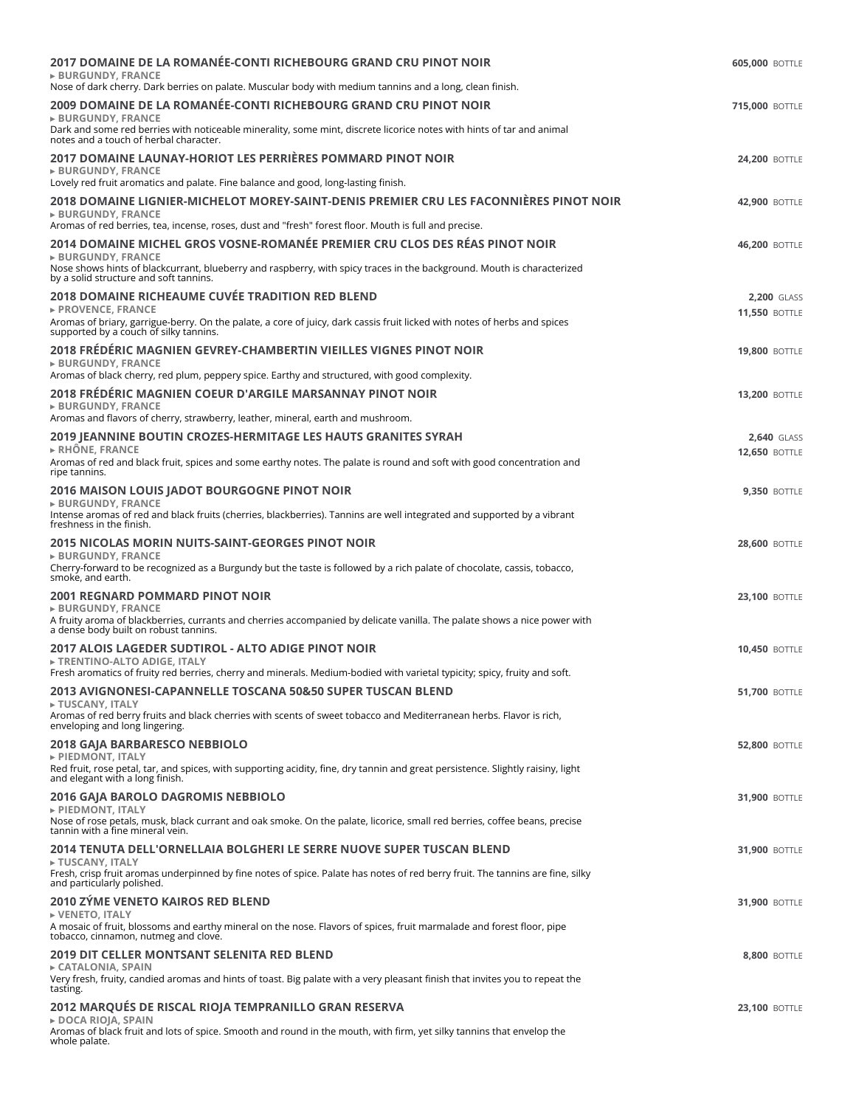| 2017 DOMAINE DE LA ROMANÉE-CONTI RICHEBOURG GRAND CRU PINOT NOIR<br><b>&gt; BURGUNDY, FRANCE</b>                                                                                                   | <b>605,000 BOTTLE</b>                      |
|----------------------------------------------------------------------------------------------------------------------------------------------------------------------------------------------------|--------------------------------------------|
| Nose of dark cherry. Dark berries on palate. Muscular body with medium tannins and a long, clean finish.                                                                                           |                                            |
| 2009 DOMAINE DE LA ROMANÉE-CONTI RICHEBOURG GRAND CRU PINOT NOIR<br><b>&gt; BURGUNDY, FRANCE</b>                                                                                                   | <b>715,000 BOTTLE</b>                      |
| Dark and some red berries with noticeable minerality, some mint, discrete licorice notes with hints of tar and animal<br>notes and a touch of herbal character.                                    |                                            |
| 2017 DOMAINE LAUNAY-HORIOT LES PERRIÈRES POMMARD PINOT NOIR<br><b>&gt; BURGUNDY, FRANCE</b>                                                                                                        | <b>24,200 BOTTLE</b>                       |
| Lovely red fruit aromatics and palate. Fine balance and good, long-lasting finish.<br>2018 DOMAINE LIGNIER-MICHELOT MOREY-SAINT-DENIS PREMIER CRU LES FACONNIÈRES PINOT NOIR                       |                                            |
| <b>&gt; BURGUNDY, FRANCE</b>                                                                                                                                                                       | <b>42,900 BOTTLE</b>                       |
| Aromas of red berries, tea, incense, roses, dust and "fresh" forest floor. Mouth is full and precise.<br>2014 DOMAINE MICHEL GROS VOSNE-ROMANÉE PREMIER CRU CLOS DES RÉAS PINOT NOIR               | <b>46,200 BOTTLE</b>                       |
| <b>&gt; BURGUNDY, FRANCE</b><br>Nose shows hints of blackcurrant, blueberry and raspberry, with spicy traces in the background. Mouth is characterized                                             |                                            |
| by a solid structure and soft tannins.<br>2018 DOMAINE RICHEAUME CUVÉE TRADITION RED BLEND                                                                                                         |                                            |
| ► PROVENCE, FRANCE                                                                                                                                                                                 | <b>2,200 GLASS</b><br><b>11,550 BOTTLE</b> |
| Aromas of briary, garrigue-berry. On the palate, a core of juicy, dark cassis fruit licked with notes of herbs and spices<br>supported by a couch of silky tannins.                                |                                            |
| 2018 FRÉDÉRIC MAGNIEN GEVREY-CHAMBERTIN VIEILLES VIGNES PINOT NOIR<br><b>&gt; BURGUNDY, FRANCE</b>                                                                                                 | <b>19,800 BOTTLE</b>                       |
| Aromas of black cherry, red plum, peppery spice. Earthy and structured, with good complexity.                                                                                                      |                                            |
| 2018 FRÉDÉRIC MAGNIEN COEUR D'ARGILE MARSANNAY PINOT NOIR<br><b>&gt; BURGUNDY, FRANCE</b>                                                                                                          | <b>13,200 BOTTLE</b>                       |
| Aromas and flavors of cherry, strawberry, leather, mineral, earth and mushroom.<br>2019 JEANNINE BOUTIN CROZES-HERMITAGE LES HAUTS GRANITES SYRAH                                                  | <b>2,640 GLASS</b>                         |
| $\triangleright$ RHÔNE, FRANCE                                                                                                                                                                     | <b>12,650 BOTTLE</b>                       |
| Aromas of red and black fruit, spices and some earthy notes. The palate is round and soft with good concentration and<br>ripe tannins.                                                             |                                            |
| <b>2016 MAISON LOUIS JADOT BOURGOGNE PINOT NOIR</b><br>► BURGUNDY, FRANCE                                                                                                                          | <b>9,350 BOTTLE</b>                        |
| Intense aromas of red and black fruits (cherries, blackberries). Tannins are well integrated and supported by a vibrant<br>freshness in the finish.                                                |                                            |
| 2015 NICOLAS MORIN NUITS-SAINT-GEORGES PINOT NOIR<br>► BURGUNDY, FRANCE                                                                                                                            | <b>28,600 BOTTLE</b>                       |
| Cherry-forward to be recognized as a Burgundy but the taste is followed by a rich palate of chocolate, cassis, tobacco,<br>smoke, and earth.                                                       |                                            |
| 2001 REGNARD POMMARD PINOT NOIR                                                                                                                                                                    | <b>23,100 BOTTLE</b>                       |
| <b>&gt; BURGUNDY, FRANCE</b><br>A fruity aroma of blackberries, currants and cherries accompanied by delicate vanilla. The palate shows a nice power with<br>a dense body built on robust tannins. |                                            |
| 2017 ALOIS LAGEDER SUDTIROL - ALTO ADIGE PINOT NOIR<br>► TRENTINO-ALTO ADIGE, ITALY                                                                                                                | <b>10,450 BOTTLE</b>                       |
| Fresh aromatics of fruity red berries, cherry and minerals. Medium-bodied with varietal typicity; spicy, fruity and soft.<br>2013 AVIGNONESI-CAPANNELLE TOSCANA 50&50 SUPER TUSCAN BLEND           | <b>51,700 BOTTLE</b>                       |
| FUSCANY, ITALY<br>Aromas of red berry fruits and black cherries with scents of sweet tobacco and Mediterranean herbs. Flavor is rich,<br>enveloping and long lingering.                            |                                            |
| <b>2018 GAJA BARBARESCO NEBBIOLO</b>                                                                                                                                                               | <b>52,800 BOTTLE</b>                       |
| PIEDMONT, ITALY<br>Red fruit, rose petal, tar, and spices, with supporting acidity, fine, dry tannin and great persistence. Slightly raisiny, light<br>and elegant with a long finish.             |                                            |
| 2016 GAJA BAROLO DAGROMIS NEBBIOLO                                                                                                                                                                 | <b>31,900 BOTTLE</b>                       |
| PIEDMONT, ITALY<br>Nose of rose petals, musk, black currant and oak smoke. On the palate, licorice, small red berries, coffee beans, precise<br>tannin with a fine mineral vein.                   |                                            |
| 2014 TENUTA DELL'ORNELLAIA BOLGHERI LE SERRE NUOVE SUPER TUSCAN BLEND<br>► TUSCANY, ITALY                                                                                                          | <b>31,900 BOTTLE</b>                       |
| Fresh, crisp fruit aromas underpinned by fine notes of spice. Palate has notes of red berry fruit. The tannins are fine, silky<br>and particularly polished.                                       |                                            |
| 2010 ZÝME VENETO KAIROS RED BLEND                                                                                                                                                                  | <b>31,900 BOTTLE</b>                       |
| ► VENETO, ITALY<br>A mosaic of fruit, blossoms and earthy mineral on the nose. Flavors of spices, fruit marmalade and forest floor, pipe<br>tobacco, cinnamon, nutmeg and clove.                   |                                            |
| 2019 DIT CELLER MONTSANT SELENITA RED BLEND                                                                                                                                                        | <b>8,800 BOTTLE</b>                        |
| ► CATALONIA, SPAIN<br>Very fresh, fruity, candied aromas and hints of toast. Big palate with a very pleasant finish that invites you to repeat the<br>tasting.                                     |                                            |
| 2012 MARQUÉS DE RISCAL RIOJA TEMPRANILLO GRAN RESERVA                                                                                                                                              | <b>23,100 BOTTLE</b>                       |
| ► DOCA RIOJA, SPAIN<br>Aromas of black fruit and lots of spice. Smooth and round in the mouth, with firm, yet silky tannins that envelop the<br>whole palate.                                      |                                            |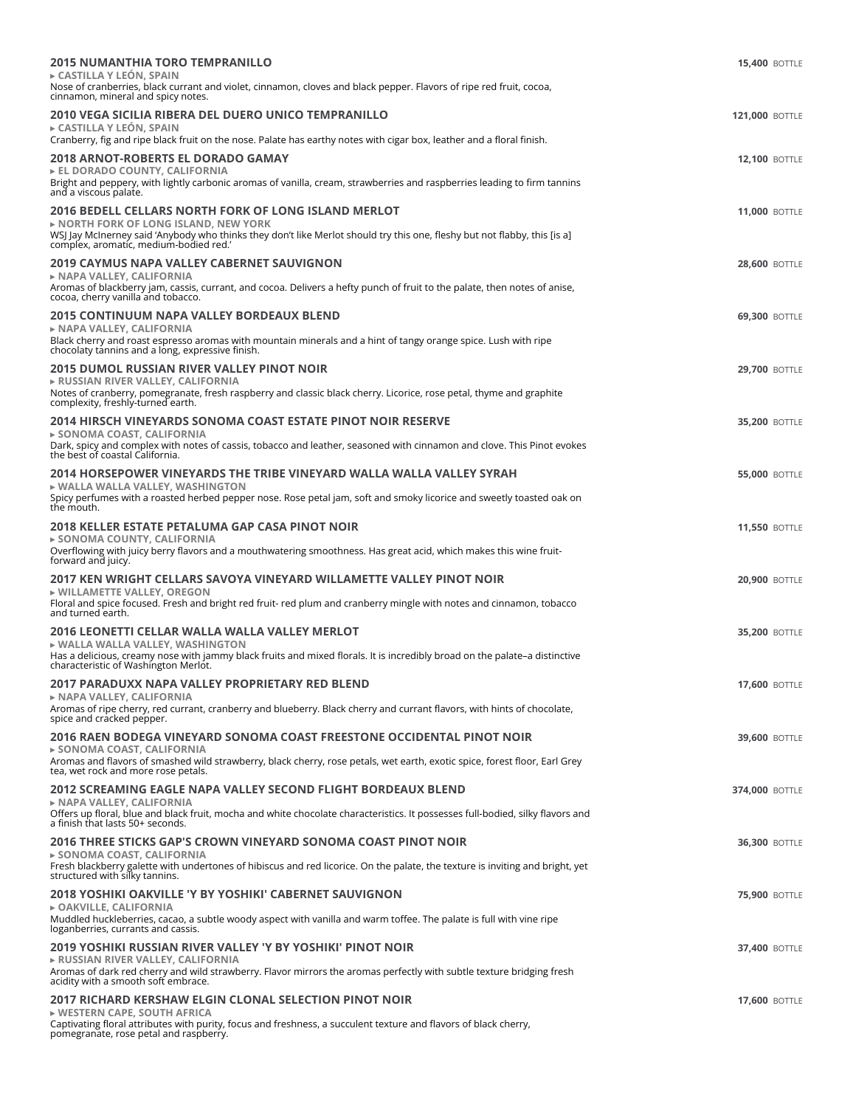| 2015 NUMANTHIA TORO TEMPRANILLO                                                                                                                                                                                                                                                    | <b>15,400 BOTTLE</b>  |
|------------------------------------------------------------------------------------------------------------------------------------------------------------------------------------------------------------------------------------------------------------------------------------|-----------------------|
| ► CASTILLA Y LEÓN, SPAIN<br>Nose of cranberries, black currant and violet, cinnamon, cloves and black pepper. Flavors of ripe red fruit, cocoa,<br>cinnamon, mineral and spicy notes.                                                                                              |                       |
| 2010 VEGA SICILIA RIBERA DEL DUERO UNICO TEMPRANILLO<br>$\triangleright$ CASTILLA Y LEÓN. SPAIN<br>Cranberry, fig and ripe black fruit on the nose. Palate has earthy notes with cigar box, leather and a floral finish.                                                           | <b>121,000 BOTTLE</b> |
| 2018 ARNOT-ROBERTS EL DORADO GAMAY<br>EL DORADO COUNTY, CALIFORNIA<br>Bright and peppery, with lightly carbonic aromas of vanilla, cream, strawberries and raspberries leading to firm tannins<br>and a viscous palate.                                                            | <b>12,100 BOTTLE</b>  |
| 2016 BEDELL CELLARS NORTH FORK OF LONG ISLAND MERLOT<br>$\triangleright$ NORTH FORK OF LONG ISLAND. NEW YORK<br>WSJ Jay McInerney said 'Anybody who thinks they don't like Merlot should try this one, fleshy but not flabby, this [is a]<br>complex, aromatic, medium-bodied red. | <b>11,000 BOTTLE</b>  |
| 2019 CAYMUS NAPA VALLEY CABERNET SAUVIGNON<br>► NAPA VALLEY, CALIFORNIA<br>Aromas of blackberry jam, cassis, currant, and cocoa. Delivers a hefty punch of fruit to the palate, then notes of anise,<br>cocoa, cherry vanilla and tobacco.                                         | <b>28,600 BOTTLE</b>  |
| 2015 CONTINUUM NAPA VALLEY BORDEAUX BLEND<br>► NAPA VALLEY, CALIFORNIA<br>Black cherry and roast espresso aromas with mountain minerals and a hint of tangy orange spice. Lush with ripe<br>chocolaty tannins and a long, expressive finish.                                       | <b>69,300 BOTTLE</b>  |
| 2015 DUMOL RUSSIAN RIVER VALLEY PINOT NOIR<br>► RUSSIAN RIVER VALLEY, CALIFORNIA<br>Notes of cranberry, pomegranate, fresh raspberry and classic black cherry. Licorice, rose petal, thyme and graphite<br>complexity, freshly-turned earth.                                       | <b>29,700 BOTTLE</b>  |
| 2014 HIRSCH VINEYARDS SONOMA COAST ESTATE PINOT NOIR RESERVE<br>► SONOMA COAST, CALIFORNIA<br>Dark, spicy and complex with notes of cassis, tobacco and leather, seasoned with cinnamon and clove. This Pinot evokes<br>the best of coastal California.                            | <b>35,200 BOTTLE</b>  |
| 2014 HORSEPOWER VINEYARDS THE TRIBE VINEYARD WALLA WALLA VALLEY SYRAH<br>$\triangleright$ WALLA WALLA VALLEY, WASHINGTON<br>Spicy perfumes with a roasted herbed pepper nose. Rose petal jam, soft and smoky licorice and sweetly toasted oak on<br>the mouth.                     | <b>55,000 BOTTLE</b>  |
| 2018 KELLER ESTATE PETALUMA GAP CASA PINOT NOIR<br>► SONOMA COUNTY, CALIFORNIA<br>Overflowing with juicy berry flavors and a mouthwatering smoothness. Has great acid, which makes this wine fruit-<br>forward and juicy.                                                          | <b>11,550 BOTTLE</b>  |
| 2017 KEN WRIGHT CELLARS SAVOYA VINEYARD WILLAMETTE VALLEY PINOT NOIR<br>▶ WILLAMETTE VALLEY, OREGON<br>Floral and spice focused. Fresh and bright red fruit- red plum and cranberry mingle with notes and cinnamon, tobacco<br>and turned earth.                                   | <b>20,900 BOTTLE</b>  |
| 2016 LEONETTI CELLAR WALLA WALLA VALLEY MERLOT<br>$\triangleright$ WALLA WALLA VALLEY, WASHINGTON<br>Has a delicious, creamy nose with jammy black fruits and mixed florals. It is incredibly broad on the palate–a distinctive<br>characteristic of Washington Merlot.            | <b>35,200 BOTTLE</b>  |
| 2017 PARADUXX NAPA VALLEY PROPRIETARY RED BLEND<br>► NAPA VALLEY, CALIFORNIA<br>Aromas of ripe cherry, red currant, cranberry and blueberry. Black cherry and currant flavors, with hints of chocolate,<br>spice and cracked pepper.                                               | <b>17,600 BOTTLE</b>  |
| 2016 RAEN BODEGA VINEYARD SONOMA COAST FREESTONE OCCIDENTAL PINOT NOIR<br>► SONOMA COAST, CALIFORNIA<br>Aromas and flavors of smashed wild strawberry, black cherry, rose petals, wet earth, exotic spice, forest floor, Earl Grey<br>tea, wet rock and more rose petals.          | <b>39,600 BOTTLE</b>  |
| 2012 SCREAMING EAGLE NAPA VALLEY SECOND FLIGHT BORDEAUX BLEND<br>► NAPA VALLEY, CALIFORNIA<br>Offers up floral, blue and black fruit, mocha and white chocolate characteristics. It possesses full-bodied, silky flavors and<br>a finish that lasts 50+ seconds.                   | <b>374,000 BOTTLE</b> |
| 2016 THREE STICKS GAP'S CROWN VINEYARD SONOMA COAST PINOT NOIR<br>► SONOMA COAST, CALIFORNIA<br>Fresh blackberry galette with undertones of hibiscus and red licorice. On the palate, the texture is inviting and bright, yet<br>structured with silky tannins.                    | <b>36,300 BOTTLE</b>  |
| 2018 YOSHIKI OAKVILLE 'Y BY YOSHIKI' CABERNET SAUVIGNON<br>► OAKVILLE, CALIFORNIA<br>Muddled huckleberries, cacao, a subtle woody aspect with vanilla and warm toffee. The palate is full with vine ripe<br>loganberries, currants and cassis.                                     | <b>75,900 BOTTLE</b>  |
| 2019 YOSHIKI RUSSIAN RIVER VALLEY 'Y BY YOSHIKI' PINOT NOIR<br>► RUSSIAN RIVER VALLEY, CALIFORNIA<br>Aromas of dark red cherry and wild strawberry. Flavor mirrors the aromas perfectly with subtle texture bridging fresh<br>acidity with a smooth soft embrace.                  | <b>37,400 BOTTLE</b>  |
| 2017 RICHARD KERSHAW ELGIN CLONAL SELECTION PINOT NOIR<br>► WESTERN CAPE, SOUTH AFRICA<br>Captivating floral attributes with purity, focus and freshness, a succulent texture and flavors of black cherry,<br>pomegranate, rose petal and raspberry.                               | <b>17,600 BOTTLE</b>  |